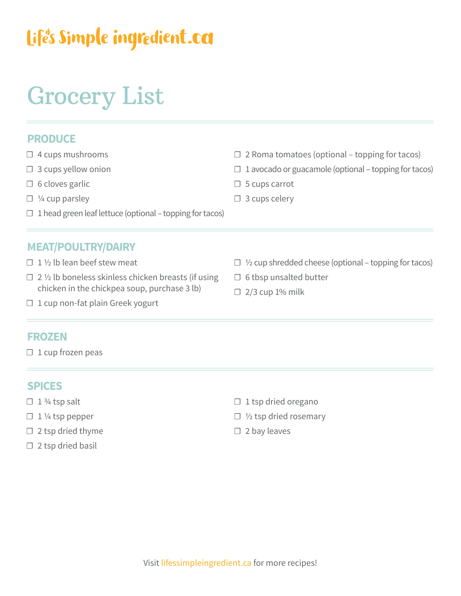## Life's Simple ingredient.ca

# Grocery List

### **PRODUCE**

- ☐ 4 cups mushrooms
- $\Box$  3 cups yellow onion
- $\Box$  6 cloves garlic
- $\square$  ¼ cup parsley
- $\Box$  1 head green leaf lettuce (optional topping for tacos)

### **MEAT/POULTRY/DAIRY**

- $\Box$  1 1/2 lb lean beef stew meat
- $\Box$  2 ½ lb boneless skinless chicken breasts (if using chicken in the chickpea soup, purchase 3 lb)
- $\Box$  2 Roma tomatoes (optional topping for tacos)
- $\Box$  1 avocado or guacamole (optional topping for tacos)
- □ 5 cups carrot
- □ 3 cups celery
- $\Box$  1/2 cup shredded cheese (optional topping for tacos)
- □ 6 tbsp unsalted butter
- $\Box$  2/3 cup 1% milk

□ 1 cup non-fat plain Greek yogurt

#### **FROZEN**

 $\Box$  1 cup frozen peas

#### **SPICES**

- $\Box$  1 3/4 tsp salt
- $\Box$  1 ¼ tsp pepper
- $\Box$  2 tsp dried thyme
- $\square$  2 tsp dried basil
- $\Box$  1 tsp dried oregano
- $\Box$  1/2 tsp dried rosemary
- $\square$  2 bay leaves